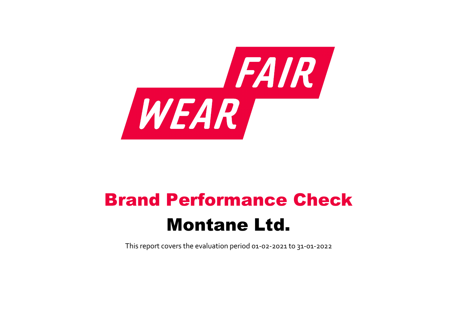

# Brand Performance Check Montane Ltd.

This report covers the evaluation period 01‐02‐2021 to 31‐01‐2022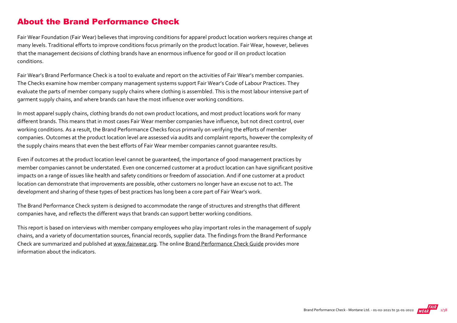## About the Brand Performance Check

Fair Wear Foundation (Fair Wear) believes that improving conditions for apparel product location workers requires change at many levels. Traditional efforts to improve conditions focus primarily on the product location. Fair Wear, however, believes that the management decisions of clothing brands have an enormous influence for good or ill on product location conditions.

Fair Wear's Brand Performance Check is a tool to evaluate and report on the activities of Fair Wear's member companies. The Checks examine how member company management systems support Fair Wear's Code of Labour Practices. They evaluate the parts of member company supply chains where clothing is assembled. This is the most labour intensive part of garment supply chains, and where brands can have the most influence over working conditions.

In most apparel supply chains, clothing brands do not own product locations, and most product locations work for many different brands. This means that in most cases Fair Wear member companies have influence, but not direct control, over working conditions. As a result, the Brand Performance Checks focus primarily on verifying the efforts of member companies. Outcomes at the product location level are assessed via audits and complaint reports, however the complexity of the supply chains means that even the best efforts of Fair Wear member companies cannot guarantee results.

Even if outcomes at the product location level cannot be guaranteed, the importance of good management practices by member companies cannot be understated. Even one concerned customer at a product location can have significant positive impacts on a range of issues like health and safety conditions or freedom of association. And if one customer at a product location can demonstrate that improvements are possible, other customers no longer have an excuse not to act. The development and sharing of these types of best practices has long been a core part of Fair Wear's work.

The Brand Performance Check system is designed to accommodate the range of structures and strengths that different companies have, and reflects the different ways that brands can support better working conditions.

This report is based on interviews with member company employees who play important roles in the management of supply chains, and a variety of documentation sources, financial records, supplier data. The findings from the Brand Performance Check are summarized and published at [www.fairwear.org](http://www.fairwear.org/). The online [Brand Performance Check Guide](https://members.fairwear.org/resources/brand-performance-check-guide/12) provides more information about the indicators.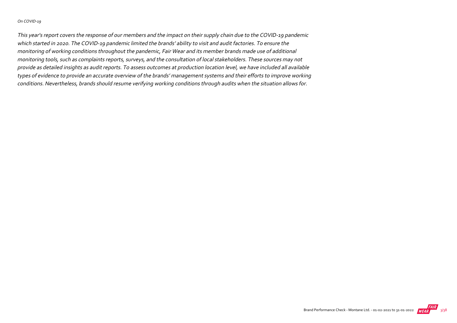#### On COVID‐19

This year's report covers the response of our members and the impact on their supply chain due to the COVID‐19 pandemic which started in 2020. The COVID‐19 pandemic limited the brands' ability to visit and audit factories. To ensure the monitoring of working conditions throughout the pandemic, Fair Wear and its member brands made use of additional monitoring tools, such as complaints reports, surveys, and the consultation of local stakeholders. These sources may not provide as detailed insights as audit reports. To assess outcomes at production location level, we have included all available types of evidence to provide an accurate overview of the brands' management systems and their efforts to improve working conditions. Nevertheless, brands should resume verifying working conditions through audits when the situation allows for.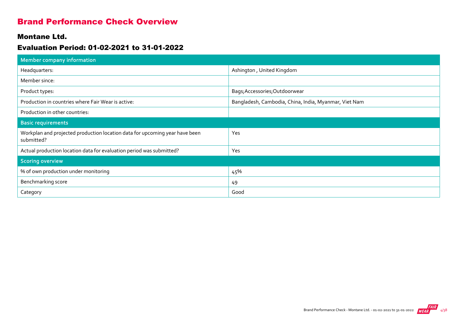## Brand Performance Check Overview

### Montane Ltd.

## Evaluation Period: 01-02-2021 to 31-01-2022

| <b>Member company information</b>                                                         |                                                       |
|-------------------------------------------------------------------------------------------|-------------------------------------------------------|
| Headquarters:                                                                             | Ashington, United Kingdom                             |
| Member since:                                                                             |                                                       |
| Product types:                                                                            | Bags; Accessories; Outdoorwear                        |
| Production in countries where Fair Wear is active:                                        | Bangladesh, Cambodia, China, India, Myanmar, Viet Nam |
| Production in other countries:                                                            |                                                       |
| <b>Basic requirements</b>                                                                 |                                                       |
| Workplan and projected production location data for upcoming year have been<br>submitted? | Yes                                                   |
| Actual production location data for evaluation period was submitted?                      | Yes                                                   |
| <b>Scoring overview</b>                                                                   |                                                       |
| % of own production under monitoring                                                      | 45%                                                   |
| Benchmarking score                                                                        | 49                                                    |
| Category                                                                                  | Good                                                  |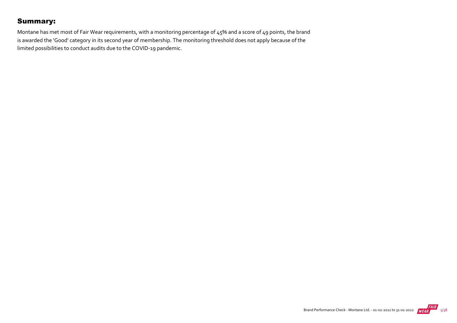## Summary:

Montane has met most of Fair Wear requirements, with a monitoring percentage of 45% and a score of 49 points, the brand is awarded the 'Good' category in its second year of membership. The monitoring threshold does not apply because of the limited possibilities to conduct audits due to the COVID‐19 pandemic.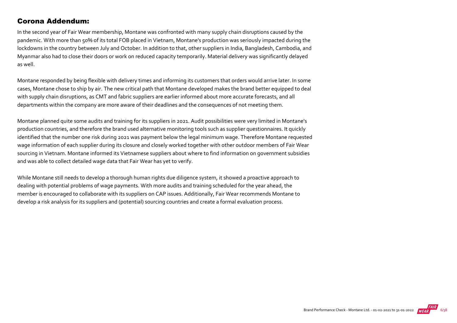## Corona Addendum:

In the second year of Fair Wear membership, Montane was confronted with many supply chain disruptions caused by the pandemic. With more than 50% of its total FOB placed in Vietnam, Montane's production was seriously impacted during the lockdowns in the country between July and October. In addition to that, other suppliers in India, Bangladesh, Cambodia, and Myanmar also had to close their doors or work on reduced capacity temporarily. Material delivery was significantly delayed as well.

Montane responded by being flexible with delivery times and informing its customers that orders would arrive later. In some cases, Montane chose to ship by air. The new critical path that Montane developed makes the brand better equipped to deal with supply chain disruptions, as CMT and fabric suppliers are earlier informed about more accurate forecasts, and all departments within the company are more aware of their deadlines and the consequences of not meeting them.

Montane planned quite some audits and training for its suppliers in 2021. Audit possibilities were very limited in Montane's production countries, and therefore the brand used alternative monitoring tools such as supplier questionnaires. It quickly identified that the number one risk during 2021 was payment below the legal minimum wage. Therefore Montane requested wage information of each supplier during its closure and closely worked together with other outdoor members of Fair Wear sourcing in Vietnam. Montane informed its Vietnamese suppliers about where to find information on government subsidies and was able to collect detailed wage data that Fair Wear has yet to verify.

While Montane still needs to develop a thorough human rights due diligence system, it showed a proactive approach to dealing with potential problems of wage payments. With more audits and training scheduled for the year ahead, the member is encouraged to collaborate with its suppliers on CAP issues. Additionally, Fair Wear recommends Montane to develop a risk analysis for its suppliers and (potential) sourcing countries and create a formal evaluation process.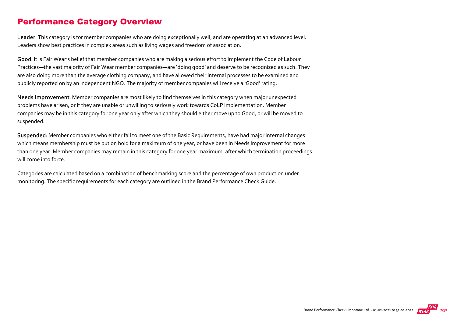## Performance Category Overview

Leader: This category is for member companies who are doing exceptionally well, and are operating at an advanced level. Leaders show best practices in complex areas such as living wages and freedom of association.

Good: It is Fair Wear's belief that member companies who are making a serious effort to implement the Code of Labour Practices—the vast majority of Fair Wear member companies—are 'doing good' and deserve to be recognized as such. They are also doing more than the average clothing company, and have allowed their internal processes to be examined and publicly reported on by an independent NGO. The majority of member companies will receive a 'Good' rating.

Needs Improvement: Member companies are most likely to find themselves in this category when major unexpected problems have arisen, or if they are unable or unwilling to seriously work towards CoLP implementation. Member companies may be in this category for one year only after which they should either move up to Good, or will be moved to suspended.

Suspended: Member companies who either fail to meet one of the Basic Requirements, have had major internal changes which means membership must be put on hold for a maximum of one year, or have been in Needs Improvement for more than one year. Member companies may remain in this category for one year maximum, after which termination proceedings will come into force.

Categories are calculated based on a combination of benchmarking score and the percentage of own production under monitoring. The specific requirements for each category are outlined in the Brand Performance Check Guide.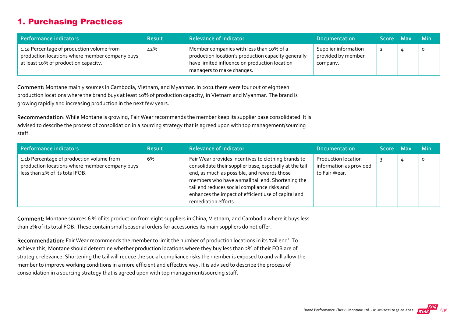## 1. Purchasing Practices

| Performance indicators                                                                                                              | <b>Result</b> | <b>Relevance of Indicator</b>                                                                                                                                                 | <b>Documentation</b>                                   | Score Max | <b>Min</b>   |
|-------------------------------------------------------------------------------------------------------------------------------------|---------------|-------------------------------------------------------------------------------------------------------------------------------------------------------------------------------|--------------------------------------------------------|-----------|--------------|
| 1.1a Percentage of production volume from<br>production locations where member company buys<br>at least 10% of production capacity. | 42%           | Member companies with less than 10% of a<br>production location's production capacity generally<br>have limited influence on production location<br>managers to make changes. | Supplier information<br>provided by member<br>company. |           | $\mathbf{o}$ |

Comment: Montane mainly sources in Cambodia, Vietnam, and Myanmar. In 2021 there were four out of eighteen production locations where the brand buys at least 10% of production capacity, in Vietnam and Myanmar. The brand is growing rapidly and increasing production in the next few years.

Recommendation: While Montane is growing, Fair Wear recommends the member keep its supplier base consolidated. It is advised to describe the process of consolidation in a sourcing strategy that is agreed upon with top management/sourcing staff.

| Performance indicators                                                                                                        | <b>Result</b> | <b>Relevance of Indicator</b>                                                                                                                                                                                                                                                                                                                     | <b>Documentation</b>                                                   | Score Max | <b>Min</b> |
|-------------------------------------------------------------------------------------------------------------------------------|---------------|---------------------------------------------------------------------------------------------------------------------------------------------------------------------------------------------------------------------------------------------------------------------------------------------------------------------------------------------------|------------------------------------------------------------------------|-----------|------------|
| 1.1b Percentage of production volume from<br>production locations where member company buys<br>less than 2% of its total FOB. | 6%            | Fair Wear provides incentives to clothing brands to<br>consolidate their supplier base, especially at the tail<br>end, as much as possible, and rewards those<br>members who have a small tail end. Shortening the<br>tail end reduces social compliance risks and<br>enhances the impact of efficient use of capital and<br>remediation efforts. | <b>Production location</b><br>information as provided<br>to Fair Wear. |           | ο          |

Comment: Montane sources 6 % of its production from eight suppliers in China, Vietnam, and Cambodia where it buys less than 2% of its total FOB. These contain small seasonal orders for accessories its main suppliers do not offer.

Recommendation: Fair Wear recommends the member to limit the number of production locations in its 'tail end'. To achieve this, Montane should determine whether production locations where they buy less than 2% of their FOB are of strategic relevance. Shortening the tail will reduce the social compliance risks the member is exposed to and will allow the member to improve working conditions in a more efficient and effective way. It is advised to describe the process of consolidation in a sourcing strategy that is agreed upon with top management/sourcing staff.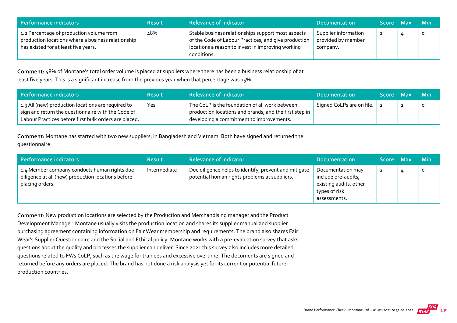| Performance indicators                                                                                                                 | <b>Result</b> | <b>Relevance of Indicator</b>                                                                                                                                                  | <b>Documentation</b>                                   | Score Max | <b>Min</b> |
|----------------------------------------------------------------------------------------------------------------------------------------|---------------|--------------------------------------------------------------------------------------------------------------------------------------------------------------------------------|--------------------------------------------------------|-----------|------------|
| 1.2 Percentage of production volume from<br>production locations where a business relationship<br>has existed for at least five years. | ∡8%           | Stable business relationships support most aspects<br>of the Code of Labour Practices, and give production<br>locations a reason to invest in improving working<br>conditions. | Supplier information<br>provided by member<br>company. | -2        |            |

Comment: 48% of Montane's total order volume is placed at suppliers where there has been a business relationship of at least five years. This is a significant increase from the previous year when that percentage was 15%.

| Performance indicators                                                                                                                                            | <b>Result</b> | <b>Relevance of Indicator</b>                                                                                                                        | <b>Documentation</b>      | Score Max | -Min     |
|-------------------------------------------------------------------------------------------------------------------------------------------------------------------|---------------|------------------------------------------------------------------------------------------------------------------------------------------------------|---------------------------|-----------|----------|
| 1.3 All (new) production locations are required to<br>sign and return the questionnaire with the Code of<br>Labour Practices before first bulk orders are placed. | Yes           | The CoLP is the foundation of all work between<br>production locations and brands, and the first step in<br>developing a commitment to improvements. | Signed CoLPs are on file. |           | $\Omega$ |

Comment: Montane has started with two new suppliers; in Bangladesh and Vietnam. Both have signed and returned the questionnaire.

| Performance indicators                                                                                                | <b>Result</b> | <b>Relevance of Indicator</b>                                                                          | <b>Documentation</b>                                                                                | <b>Score</b> | <b>Max</b> | <b>Min</b> |
|-----------------------------------------------------------------------------------------------------------------------|---------------|--------------------------------------------------------------------------------------------------------|-----------------------------------------------------------------------------------------------------|--------------|------------|------------|
| 1.4 Member company conducts human rights due<br>diligence at all (new) production locations before<br>placing orders. | Intermediate  | Due diligence helps to identify, prevent and mitigate<br>potential human rights problems at suppliers. | Documentation may<br>include pre-audits,<br>existing audits, other<br>types of risk<br>assessments. | $\mathbf{z}$ |            |            |

Comment: New production locations are selected by the Production and Merchandising manager and the Product Development Manager. Montane usually visits the production location and shares its supplier manual and supplier purchasing agreement containing information on Fair Wear membership and requirements. The brand also shares Fair Wear's Supplier Questionnaire and the Social and Ethical policy. Montane works with a pre‐evaluation survey that asks questions about the quality and processes the supplier can deliver. Since 2021 this survey also includes more detailed questions related to FWs CoLP, such as the wage for trainees and excessive overtime. The documents are signed and returned before any orders are placed. The brand has not done a risk analysis yet for its current or potential future production countries.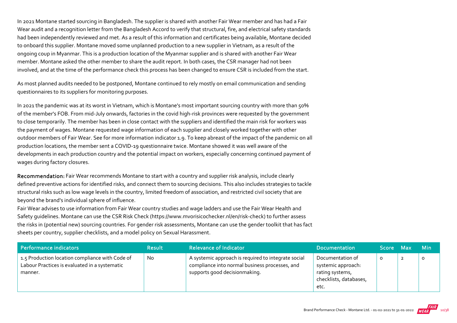In 2021 Montane started sourcing in Bangladesh. The supplier is shared with another Fair Wear member and has had a Fair Wear audit and a recognition letter from the Bangladesh Accord to verify that structural, fire, and electrical safety standards had been independently reviewed and met. As a result of this information and certificates being available, Montane decided to onboard this supplier. Montane moved some unplanned production to a new supplier in Vietnam, as a result of the ongoing coup in Myanmar. This is a production location of the Myanmar supplier and is shared with another Fair Wear member. Montane asked the other member to share the audit report. In both cases, the CSR manager had not been involved, and at the time of the performance check this process has been changed to ensure CSR is included from the start.

As most planned audits needed to be postponed, Montane continued to rely mostly on email communication and sending questionnaires to its suppliers for monitoring purposes.

In 2021 the pandemic was at its worst in Vietnam, which is Montane's most important sourcing country with more than 50% of the member's FOB. From mid‐July onwards, factories in the covid high‐risk provinces were requested by the government to close temporarily. The member has been in close contact with the suppliers and identified the main risk for workers was the payment of wages. Montane requested wage information of each supplier and closely worked together with other outdoor members of Fair Wear. See for more information indicator 1.9. To keep abreast of the impact of the pandemic on all production locations, the member sent a COVID‐19 questionnaire twice. Montane showed it was well aware of the developments in each production country and the potential impact on workers, especially concerning continued payment of wages during factory closures.

Recommendation: Fair Wear recommends Montane to start with a country and supplier risk analysis, include clearly defined preventive actions for identified risks, and connect them to sourcing decisions. This also includes strategies to tackle structural risks such as low wage levels in the country, limited freedom of association, and restricted civil society that are beyond the brand's individual sphere of influence.

Fair Wear advises to use information from Fair Wear country studies and wage ladders and use the Fair Wear Health and Safety guidelines. Montane can use the CSR Risk Check (https://www.mvorisicochecker.nl/en/risk‐check) to further assess the risks in (potential new) sourcing countries. For gender risk assessments, Montane can use the gender toolkit that has fact sheets per country, supplier checklists, and a model policy on Sexual Harassment.

| Performance indicators                                                                                      | <b>Result</b> | <b>Relevance of Indicator</b>                                                                                                          | <b>Documentation</b>                                                                        | Score Max | <b>Min</b> |
|-------------------------------------------------------------------------------------------------------------|---------------|----------------------------------------------------------------------------------------------------------------------------------------|---------------------------------------------------------------------------------------------|-----------|------------|
| 1.5 Production location compliance with Code of<br>Labour Practices is evaluated in a systematic<br>manner. | <b>No</b>     | A systemic approach is required to integrate social<br>compliance into normal business processes, and<br>supports good decisionmaking. | Documentation of<br>systemic approach:<br>rating systems,<br>checklists, databases,<br>etc. |           | $\circ$    |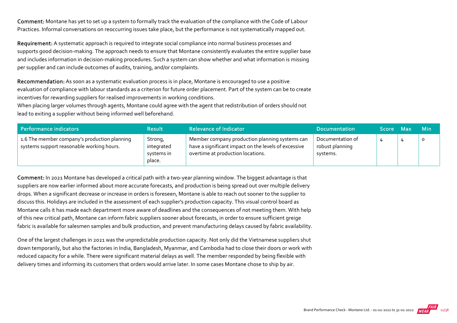Comment: Montane has yet to set up a system to formally track the evaluation of the compliance with the Code of Labour Practices. Informal conversations on reoccurring issues take place, but the performance is not systematically mapped out.

Requirement: A systematic approach is required to integrate social compliance into normal business processes and supports good decision-making. The approach needs to ensure that Montane consistently evaluates the entire supplier base and includes information in decision‐making procedures. Such a system can show whether and what information is missing per supplier and can include outcomes of audits, training, and/or complaints.

Recommendation: As soon as a systematic evaluation process is in place, Montane is encouraged to use a positive evaluation of compliance with labour standards as a criterion for future order placement. Part of the system can be to create incentives for rewarding suppliers for realised improvements in working conditions.

When placing larger volumes through agents, Montane could agree with the agent that redistribution of orders should not lead to exiting a supplier without being informed well beforehand.

| Performance indicators                                                                    | <b>Result</b>                                 | <b>Relevance of Indicator</b>                                                                                                               | <b>Documentation</b>                            | Score Max | <b>Min</b> |
|-------------------------------------------------------------------------------------------|-----------------------------------------------|---------------------------------------------------------------------------------------------------------------------------------------------|-------------------------------------------------|-----------|------------|
| 1.6 The member company's production planning<br>systems support reasonable working hours. | Strong,<br>integrated<br>systems in<br>place. | Member company production planning systems can<br>have a significant impact on the levels of excessive<br>overtime at production locations. | Documentation of<br>robust planning<br>systems. |           |            |

Comment: In 2021 Montane has developed a critical path with a two-year planning window. The biggest advantage is that suppliers are now earlier informed about more accurate forecasts, and production is being spread out over multiple delivery drops. When a significant decrease or increase in orders is foreseen, Montane is able to reach out sooner to the supplier to discuss this. Holidays are included in the assessment of each supplier's production capacity. This visual control board as Montane calls it has made each department more aware of deadlines and the consequences of not meeting them. With help of this new critical path, Montane can inform fabric suppliers sooner about forecasts, in order to ensure sufficient greige fabric is available for salesmen samples and bulk production, and prevent manufacturing delays caused by fabric availability.

One of the largest challenges in 2021 was the unpredictable production capacity. Not only did the Vietnamese suppliers shut down temporarily, but also the factories in India, Bangladesh, Myanmar, and Cambodia had to close their doors or work with reduced capacity for a while. There were significant material delays as well. The member responded by being flexible with delivery times and informing its customers that orders would arrive later. In some cases Montane chose to ship by air.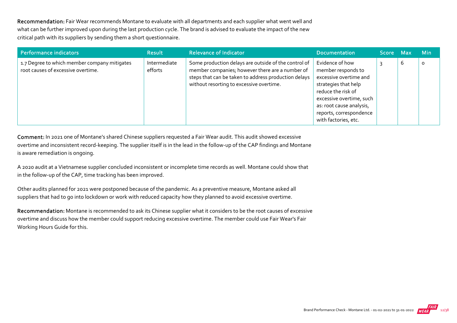Recommendation: Fair Wear recommends Montane to evaluate with all departments and each supplier what went well and what can be further improved upon during the last production cycle. The brand is advised to evaluate the impact of the new critical path with its suppliers by sending them a short questionnaire.

| Performance indicators                                                             | <b>Result</b>           | <b>Relevance of Indicator</b>                                                                                                                                                                               | <b>Documentation</b>                                                                                                                                                                                                     | <b>Score</b> | <b>Max</b> | <b>Min</b> |
|------------------------------------------------------------------------------------|-------------------------|-------------------------------------------------------------------------------------------------------------------------------------------------------------------------------------------------------------|--------------------------------------------------------------------------------------------------------------------------------------------------------------------------------------------------------------------------|--------------|------------|------------|
| 1.7 Degree to which member company mitigates<br>root causes of excessive overtime. | Intermediate<br>efforts | Some production delays are outside of the control of<br>member companies; however there are a number of<br>steps that can be taken to address production delays<br>without resorting to excessive overtime. | Evidence of how<br>member responds to<br>excessive overtime and<br>strategies that help<br>reduce the risk of<br>excessive overtime, such<br>as: root cause analysis,<br>reports, correspondence<br>with factories, etc. |              | b          | O          |

Comment: In 2021 one of Montane's shared Chinese suppliers requested a Fair Wear audit. This audit showed excessive overtime and inconsistent record‐keeping. The supplier itself is in the lead in the follow‐up of the CAP findings and Montane is aware remediation is ongoing.

A 2020 audit at a Vietnamese supplier concluded inconsistent or incomplete time records as well. Montane could show that in the follow‐up of the CAP, time tracking has been improved.

Other audits planned for 2021 were postponed because of the pandemic. As a preventive measure, Montane asked all suppliers that had to go into lockdown or work with reduced capacity how they planned to avoid excessive overtime.

Recommendation: Montane is recommended to ask its Chinese supplier what it considers to be the root causes of excessive overtime and discuss how the member could support reducing excessive overtime. The member could use Fair Wear's Fair Working Hours Guide for this.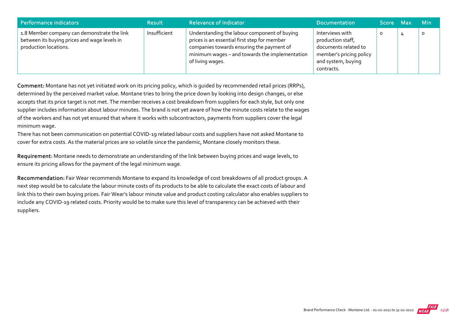| Performance indicators                                                                                               | <b>Result</b> | <b>Relevance of Indicator</b>                                                                                                                                                                                   | <b>Documentation</b>                                                                                                        | Score Max |   | <b>Min</b> |
|----------------------------------------------------------------------------------------------------------------------|---------------|-----------------------------------------------------------------------------------------------------------------------------------------------------------------------------------------------------------------|-----------------------------------------------------------------------------------------------------------------------------|-----------|---|------------|
| 1.8 Member company can demonstrate the link<br>between its buying prices and wage levels in<br>production locations. | Insufficient  | Understanding the labour component of buying<br>prices is an essential first step for member<br>companies towards ensuring the payment of<br>minimum wages - and towards the implementation<br>of living wages. | Interviews with<br>production staff,<br>documents related to<br>member's pricing policy<br>and system, buying<br>contracts. | 0         | 4 |            |

Comment: Montane has not yet initiated work on its pricing policy, which is guided by recommended retail prices (RRPs), determined by the perceived market value. Montane tries to bring the price down by looking into design changes, or else accepts that its price target is not met. The member receives a cost breakdown from suppliers for each style, but only one supplier includes information about labour minutes. The brand is not yet aware of how the minute costs relate to the wages of the workers and has not yet ensured that where it works with subcontractors, payments from suppliers cover the legal minimum wage.

There has not been communication on potential COVID‐19 related labour costs and suppliers have not asked Montane to cover for extra costs. As the material prices are so volatile since the pandemic, Montane closely monitors these.

Requirement: Montane needs to demonstrate an understanding of the link between buying prices and wage levels, to ensure its pricing allows for the payment of the legal minimum wage.

Recommendation: Fair Wear recommends Montane to expand its knowledge of cost breakdowns of all product groups. A next step would be to calculate the labour minute costs of its products to be able to calculate the exact costs of labour and link this to their own buying prices. Fair Wear's labour minute value and product costing calculator also enables suppliers to include any COVID‐19 related costs. Priority would be to make sure this level of transparency can be achieved with their suppliers.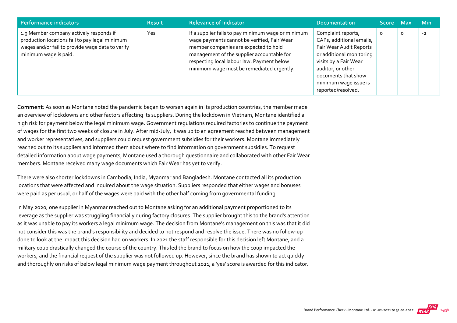| Performance indicators                                                                                                                                                 | <b>Result</b> | <b>Relevance of Indicator</b>                                                                                                                                                                                                                                                       | <b>Documentation</b>                                                                                                                                                                                                      | Score Max |         | <b>Min</b> |
|------------------------------------------------------------------------------------------------------------------------------------------------------------------------|---------------|-------------------------------------------------------------------------------------------------------------------------------------------------------------------------------------------------------------------------------------------------------------------------------------|---------------------------------------------------------------------------------------------------------------------------------------------------------------------------------------------------------------------------|-----------|---------|------------|
| 1.9 Member company actively responds if<br>production locations fail to pay legal minimum<br>wages and/or fail to provide wage data to verify<br>minimum wage is paid. | Yes           | If a supplier fails to pay minimum wage or minimum<br>wage payments cannot be verified, Fair Wear<br>member companies are expected to hold<br>management of the supplier accountable for<br>respecting local labour law. Payment below<br>minimum wage must be remediated urgently. | Complaint reports,<br>CAPs, additional emails,<br>Fair Wear Audit Reports<br>or additional monitoring<br>visits by a Fair Wear<br>auditor, or other<br>documents that show<br>minimum wage issue is<br>reported/resolved. | 0         | $\circ$ | $-2$       |

Comment: As soon as Montane noted the pandemic began to worsen again in its production countries, the member made an overview of lockdowns and other factors affecting its suppliers. During the lockdown in Vietnam, Montane identified a high risk for payment below the legal minimum wage. Government regulations required factories to continue the payment of wages for the first two weeks of closure in July. After mid‐July, it was up to an agreement reached between management and worker representatives, and suppliers could request government subsidies for their workers. Montane immediately reached out to its suppliers and informed them about where to find information on government subsidies. To request detailed information about wage payments, Montane used a thorough questionnaire and collaborated with other Fair Wear members. Montane received many wage documents which Fair Wear has yet to verify.

There were also shorter lockdowns in Cambodia, India, Myanmar and Bangladesh. Montane contacted all its production locations that were affected and inquired about the wage situation. Suppliers responded that either wages and bonuses were paid as per usual, or half of the wages were paid with the other half coming from governmental funding.

In May 2020, one supplier in Myanmar reached out to Montane asking for an additional payment proportioned to its leverage as the supplier was struggling financially during factory closures. The supplier brought this to the brand's attention as it was unable to pay its workers a legal minimum wage. The decision from Montane's management on this was that it did not consider this was the brand's responsibility and decided to not respond and resolve the issue. There was no follow‐up done to look at the impact this decision had on workers. In 2021 the staff responsible for this decision left Montane, and a military coup drastically changed the course of the country. This led the brand to focus on how the coup impacted the workers, and the financial request of the supplier was not followed up. However, since the brand has shown to act quickly and thoroughly on risks of below legal minimum wage payment throughout 2021, a 'yes' score is awarded for this indicator.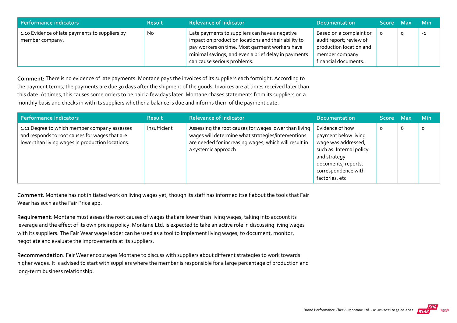| Performance indicators                                            | <b>Result</b> | <b>Relevance of Indicator</b>                                                                                                                                                                                                                 | <b>Documentation</b>                                                                                                    | Score Max |   | - Min |
|-------------------------------------------------------------------|---------------|-----------------------------------------------------------------------------------------------------------------------------------------------------------------------------------------------------------------------------------------------|-------------------------------------------------------------------------------------------------------------------------|-----------|---|-------|
| 1.10 Evidence of late payments to suppliers by<br>member company. | No            | Late payments to suppliers can have a negative<br>impact on production locations and their ability to<br>pay workers on time. Most garment workers have<br>minimal savings, and even a brief delay in payments<br>can cause serious problems. | Based on a complaint or<br>audit report; review of<br>production location and<br>member company<br>financial documents. |           | O | -1    |

Comment: There is no evidence of late payments. Montane pays the invoices of its suppliers each fortnight. According to the payment terms, the payments are due 30 days after the shipment of the goods. Invoices are at times received later than this date. At times, this causes some orders to be paid a few days later. Montane chases statements from its suppliers on a monthly basis and checks in with its suppliers whether a balance is due and informs them of the payment date.

| Performance indicators                                                                                                                             | <b>Result</b> | <b>Relevance of Indicator</b>                                                                                                                                                               | <b>Documentation</b>                                                                                                                                                       | Score Max |   | <b>Min</b> |
|----------------------------------------------------------------------------------------------------------------------------------------------------|---------------|---------------------------------------------------------------------------------------------------------------------------------------------------------------------------------------------|----------------------------------------------------------------------------------------------------------------------------------------------------------------------------|-----------|---|------------|
| 1.11 Degree to which member company assesses<br>and responds to root causes for wages that are<br>lower than living wages in production locations. | Insufficient  | Assessing the root causes for wages lower than living<br>wages will determine what strategies/interventions<br>are needed for increasing wages, which will result in<br>a systemic approach | Evidence of how<br>payment below living<br>wage was addressed,<br>such as: Internal policy<br>and strategy<br>documents, reports,<br>correspondence with<br>factories, etc | o         | ь | $\circ$    |

Comment: Montane has not initiated work on living wages yet, though its staff has informed itself about the tools that Fair Wear has such as the Fair Price app.

Requirement: Montane must assess the root causes of wages that are lower than living wages, taking into account its leverage and the effect of its own pricing policy. Montane Ltd. is expected to take an active role in discussing living wages with its suppliers. The Fair Wear wage ladder can be used as a tool to implement living wages, to document, monitor, negotiate and evaluate the improvements at its suppliers.

Recommendation: Fair Wear encourages Montane to discuss with suppliers about different strategies to work towards higher wages. It is advised to start with suppliers where the member is responsible for a large percentage of production and long‐term business relationship.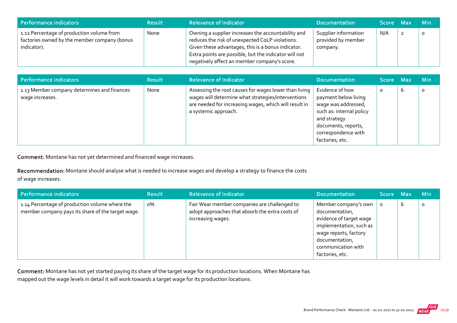| Performance indicators                                                                                   | <b>Result</b> | <b>Relevance of Indicator</b>                                                                                                                                                                                                                                        | <b>Documentation</b>                                   | Score Max | <b>Min</b> |
|----------------------------------------------------------------------------------------------------------|---------------|----------------------------------------------------------------------------------------------------------------------------------------------------------------------------------------------------------------------------------------------------------------------|--------------------------------------------------------|-----------|------------|
| 1.12 Percentage of production volume from<br>factories owned by the member company (bonus<br>indicator). | None          | Owning a supplier increases the accountability and<br>reduces the risk of unexpected CoLP violations.<br>Given these advantages, this is a bonus indicator.<br>Extra points are possible, but the indicator will not<br>negatively affect an member company's score. | Supplier information<br>provided by member<br>company. | N/A       |            |

| <b>Performance indicators</b>                                  | <b>Result</b> | <b>Relevance of Indicator</b>                                                                                                                                                                | <b>Documentation</b>                                                                                                                                                        | Score Maxi |   | <b>Min</b> |
|----------------------------------------------------------------|---------------|----------------------------------------------------------------------------------------------------------------------------------------------------------------------------------------------|-----------------------------------------------------------------------------------------------------------------------------------------------------------------------------|------------|---|------------|
| 1.13 Member company determines and finances<br>wage increases. | None          | Assessing the root causes for wages lower than living<br>wages will determine what strategies/interventions<br>are needed for increasing wages, which will result in<br>a systemic approach. | Evidence of how<br>payment below living<br>wage was addressed,<br>such as: internal policy<br>and strategy<br>documents, reports,<br>correspondence with<br>factories, etc. | 0          | 6 | $\Omega$   |

Comment: Montane has not yet determined and financed wage increases.

Recommendation: Montane should analyse what is needed to increase wages and develop a strategy to finance the costs

of wage increases.

| Performance indicators                                                                              | <b>Result</b> | <b>Relevance of Indicator</b>                                                                                        | <b>Documentation</b>                                                                                                                                                             | Score Max |   | <b>Min</b> |
|-----------------------------------------------------------------------------------------------------|---------------|----------------------------------------------------------------------------------------------------------------------|----------------------------------------------------------------------------------------------------------------------------------------------------------------------------------|-----------|---|------------|
| 1.14 Percentage of production volume where the<br>member company pays its share of the target wage. | о%            | Fair Wear member companies are challenged to<br>adopt approaches that absorb the extra costs of<br>increasing wages. | Member company's own<br>documentation,<br>evidence of target wage<br>implementation, such as<br>wage reports, factory<br>documentation,<br>communication with<br>factories, etc. | $\circ$   | 6 | $\Omega$   |

Comment: Montane has not yet started paying its share of the target wage for its production locations. When Montane has mapped out the wage levels in detail it will work towards a target wage for its production locations.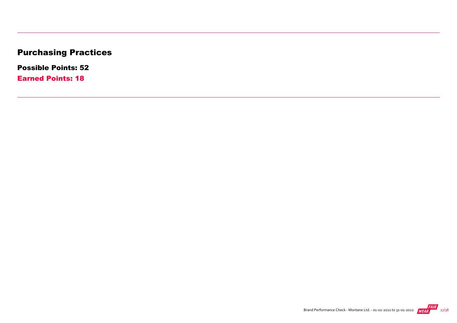# Purchasing Practices

Possible Points: 52

Earned Points: 18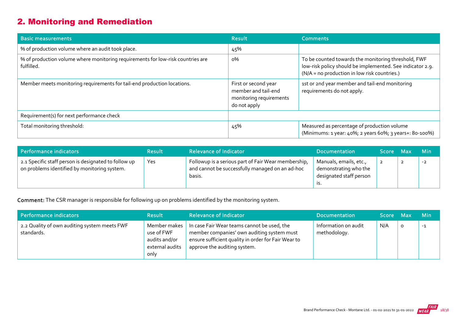## 2. Monitoring and Remediation

| <b>Basic measurements</b>                                                                     | <b>Result</b>                                                                          | <b>Comments</b>                                                                                                                                                  |
|-----------------------------------------------------------------------------------------------|----------------------------------------------------------------------------------------|------------------------------------------------------------------------------------------------------------------------------------------------------------------|
| % of production volume where an audit took place.                                             | 45%                                                                                    |                                                                                                                                                                  |
| % of production volume where monitoring requirements for low-risk countries are<br>fulfilled. | о%                                                                                     | To be counted towards the monitoring threshold, FWF<br>low-risk policy should be implemented. See indicator 2.9.<br>(N/A = no production in low risk countries.) |
| Member meets monitoring requirements for tail-end production locations.                       | First or second year<br>member and tail-end<br>monitoring requirements<br>do not apply | 1st or 2nd year member and tail-end monitoring<br>requirements do not apply.                                                                                     |
| Requirement(s) for next performance check                                                     |                                                                                        |                                                                                                                                                                  |
| Total monitoring threshold:                                                                   | 45%                                                                                    | Measured as percentage of production volume<br>(Minimums: 1 year: 40%; 2 years 60%; 3 years+: 80-100%)                                                           |

| Performance indicators                                                                               | <b>Result</b> | <b>Relevance of Indicator</b>                                                                                    | <b>Documentation</b>                                                              | Score Max |                | <b>Min</b> |
|------------------------------------------------------------------------------------------------------|---------------|------------------------------------------------------------------------------------------------------------------|-----------------------------------------------------------------------------------|-----------|----------------|------------|
| 2.1 Specific staff person is designated to follow up<br>on problems identified by monitoring system. | Yes           | Followup is a serious part of Fair Wear membership,<br>and cannot be successfully managed on an ad-hoc<br>basis. | Manuals, emails, etc.,<br>demonstrating who the<br>designated staff person<br>גו. |           | $\overline{2}$ | $-2$       |

Comment: The CSR manager is responsible for following up on problems identified by the monitoring system.

| Performance indicators                                     | <b>Result</b>                                                          | <b>Relevance of Indicator</b>                                                                                                                                                                | <b>Documentation</b>                 | Score Max | <b>Min</b> |
|------------------------------------------------------------|------------------------------------------------------------------------|----------------------------------------------------------------------------------------------------------------------------------------------------------------------------------------------|--------------------------------------|-----------|------------|
| 2.2 Quality of own auditing system meets FWF<br>standards. | Member makes<br>use of FWF<br>audits and/or<br>external audits<br>only | $\parallel$ In case Fair Wear teams cannot be used, the<br>member companies' own auditing system must<br>ensure sufficient quality in order for Fair Wear to<br>approve the auditing system. | Information on audit<br>methodology. | N/A       | $-1$       |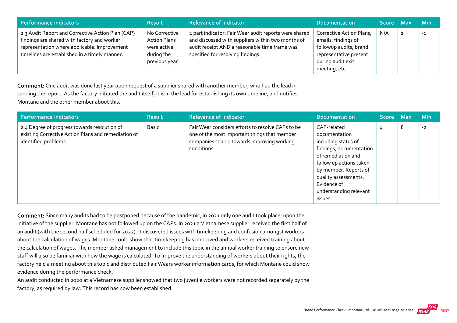| Performance indicators                                                                                                                                                                            | <b>Result</b>                                                                      | <b>Relevance of Indicator</b>                                                                                                                                                                    | <b>Documentation</b>                                                                                                                      | Score Max | <b>Min</b> |
|---------------------------------------------------------------------------------------------------------------------------------------------------------------------------------------------------|------------------------------------------------------------------------------------|--------------------------------------------------------------------------------------------------------------------------------------------------------------------------------------------------|-------------------------------------------------------------------------------------------------------------------------------------------|-----------|------------|
| 2.3 Audit Report and Corrective Action Plan (CAP)<br>findings are shared with factory and worker<br>representation where applicable. Improvement<br>timelines are established in a timely manner. | No Corrective<br><b>Action Plans</b><br>were active<br>during the<br>previous year | 2 part indicator: Fair Wear audit reports were shared<br>and discussed with suppliers within two months of<br>audit receipt AND a reasonable time frame was<br>specified for resolving findings. | Corrective Action Plans,<br>emails; findings of<br>followup audits; brand<br>representative present<br>during audit exit<br>meeting, etc. | N/A       | $-1$       |

Comment: One audit was done last year upon request of a supplier shared with another member, who had the lead in sending the report. As the factory initiated the audit itself, it is in the lead for establishing its own timeline, and notifies Montane and the other member about this.

| <b>Performance indicators</b>                                                                                               | <b>Result</b> | <b>Relevance of Indicator</b>                                                                                                                                  | <b>Documentation</b>                                                                                                                                                                                                                 | <b>Score</b> | <b>Max</b> | <b>Min</b> |
|-----------------------------------------------------------------------------------------------------------------------------|---------------|----------------------------------------------------------------------------------------------------------------------------------------------------------------|--------------------------------------------------------------------------------------------------------------------------------------------------------------------------------------------------------------------------------------|--------------|------------|------------|
| 2.4 Degree of progress towards resolution of<br>existing Corrective Action Plans and remediation of<br>identified problems. | Basic         | Fair Wear considers efforts to resolve CAPs to be<br>one of the most important things that member<br>companies can do towards improving working<br>conditions. | CAP-related<br>documentation<br>including status of<br>findings, documentation<br>of remediation and<br>follow up actions taken<br>by member. Reports of<br>quality assessments.<br>Evidence of<br>understanding relevant<br>issues. | 4            | 8          | $-2$       |

Comment: Since many audits had to be postponed because of the pandemic, in 2021 only one audit took place, upon the initiative of the supplier. Montane has not followed up on the CAPs. In 2021 a Vietnamese supplier received the first half of an audit (with the second half scheduled for 2022). It discovered issues with timekeeping and confusion amongst workers about the calculation of wages. Montane could show that timekeeping has improved and workers received training about the calculation of wages. The member asked management to include this topic in the annual worker training to ensure new staff will also be familiar with how the wage is calculated. To improve the understanding of workers about their rights, the factory held a meeting about this topic and distributed Fair Wears worker information cards, for which Montane could show evidence during the performance check.

An audit conducted in 2020 at a Vietnamese supplier showed that two juvenile workers were not recorded separately by the factory, as required by law. This record has now been established.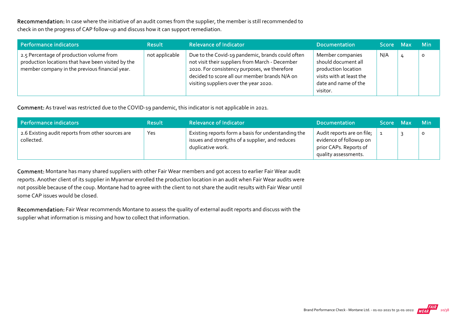Recommendation: In case where the initiative of an audit comes from the supplier, the member is still recommended to check in on the progress of CAP follow‐up and discuss how it can support remediation.

| Performance indicators                                                                                                                           | <b>Result</b>  | <b>Relevance of Indicator</b>                                                                                                                                                                                                                  | <b>Documentation</b>                                                                                                           | Score Max | <b>Min</b> |
|--------------------------------------------------------------------------------------------------------------------------------------------------|----------------|------------------------------------------------------------------------------------------------------------------------------------------------------------------------------------------------------------------------------------------------|--------------------------------------------------------------------------------------------------------------------------------|-----------|------------|
| 2.5 Percentage of production volume from<br>production locations that have been visited by the<br>member company in the previous financial year. | not applicable | Due to the Covid-19 pandemic, brands could often<br>not visit their suppliers from March - December<br>2020. For consistency purposes, we therefore<br>decided to score all our member brands N/A on<br>visiting suppliers over the year 2020. | Member companies<br>should document all<br>production location<br>visits with at least the<br>date and name of the<br>visitor. | N/A       | $\circ$    |

Comment: As travel was restricted due to the COVID‐19 pandemic, this indicator is not applicable in 2021.

| Performance indicators                                          | <b>Result</b> | <b>Relevance of Indicator</b>                                                                                               | <b>Documentation</b>                                                                                    | Score Max | <b>Min</b> |
|-----------------------------------------------------------------|---------------|-----------------------------------------------------------------------------------------------------------------------------|---------------------------------------------------------------------------------------------------------|-----------|------------|
| 2.6 Existing audit reports from other sources are<br>collected. | Yes           | Existing reports form a basis for understanding the<br>issues and strengths of a supplier, and reduces<br>duplicative work. | Audit reports are on file;<br>evidence of followup on<br>prior CAPs. Reports of<br>quality assessments. |           | O          |

Comment: Montane has many shared suppliers with other Fair Wear members and got access to earlier Fair Wear audit reports. Another client of its supplier in Myanmar enrolled the production location in an audit when Fair Wear audits were not possible because of the coup. Montane had to agree with the client to not share the audit results with Fair Wear until some CAP issues would be closed.

Recommendation: Fair Wear recommends Montane to assess the quality of external audit reports and discuss with the supplier what information is missing and how to collect that information.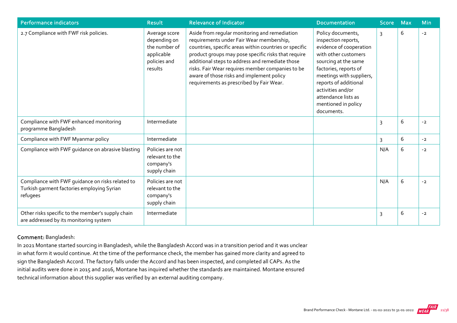| <b>Performance indicators</b>                                                                              | <b>Result</b>                                                                           | <b>Relevance of Indicator</b>                                                                                                                                                                                                                                                                                                                                                                              | <b>Documentation</b>                                                                                                                                                                                                                                                               | <b>Score</b>   | <b>Max</b> | <b>Min</b> |
|------------------------------------------------------------------------------------------------------------|-----------------------------------------------------------------------------------------|------------------------------------------------------------------------------------------------------------------------------------------------------------------------------------------------------------------------------------------------------------------------------------------------------------------------------------------------------------------------------------------------------------|------------------------------------------------------------------------------------------------------------------------------------------------------------------------------------------------------------------------------------------------------------------------------------|----------------|------------|------------|
| 2.7 Compliance with FWF risk policies.                                                                     | Average score<br>depending on<br>the number of<br>applicable<br>policies and<br>results | Aside from regular monitoring and remediation<br>requirements under Fair Wear membership,<br>countries, specific areas within countries or specific<br>product groups may pose specific risks that require<br>additional steps to address and remediate those<br>risks. Fair Wear requires member companies to be<br>aware of those risks and implement policy<br>requirements as prescribed by Fair Wear. | Policy documents,<br>inspection reports,<br>evidence of cooperation<br>with other customers<br>sourcing at the same<br>factories, reports of<br>meetings with suppliers,<br>reports of additional<br>activities and/or<br>attendance lists as<br>mentioned in policy<br>documents. | $\overline{3}$ | 6          | $-2$       |
| Compliance with FWF enhanced monitoring<br>programme Bangladesh                                            | Intermediate                                                                            |                                                                                                                                                                                                                                                                                                                                                                                                            |                                                                                                                                                                                                                                                                                    | 3              | 6          | $-2$       |
| Compliance with FWF Myanmar policy                                                                         | Intermediate                                                                            |                                                                                                                                                                                                                                                                                                                                                                                                            |                                                                                                                                                                                                                                                                                    | 3              | 6          | $-2$       |
| Compliance with FWF quidance on abrasive blasting                                                          | Policies are not<br>relevant to the<br>company's<br>supply chain                        |                                                                                                                                                                                                                                                                                                                                                                                                            |                                                                                                                                                                                                                                                                                    | N/A            | 6          | $-2$       |
| Compliance with FWF guidance on risks related to<br>Turkish garment factories employing Syrian<br>refugees | Policies are not<br>relevant to the<br>company's<br>supply chain                        |                                                                                                                                                                                                                                                                                                                                                                                                            |                                                                                                                                                                                                                                                                                    | N/A            | 6          | $-2$       |
| Other risks specific to the member's supply chain<br>are addressed by its monitoring system                | Intermediate                                                                            |                                                                                                                                                                                                                                                                                                                                                                                                            |                                                                                                                                                                                                                                                                                    | 3              | 6          | $-2$       |

#### Comment: Bangladesh:

In 2021 Montane started sourcing in Bangladesh, while the Bangladesh Accord was in a transition period and it was unclear in what form it would continue. At the time of the performance check, the member has gained more clarity and agreed to sign the Bangladesh Accord. The factory falls under the Accord and has been inspected, and completed all CAPs. As the initial audits were done in 2015 and 2016, Montane has inquired whether the standards are maintained. Montane ensured technical information about this supplier was verified by an external auditing company.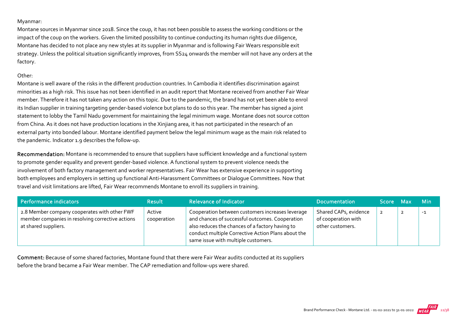#### Myanmar:

Montane sources in Myanmar since 2018. Since the coup, it has not been possible to assess the working conditions or the impact of the coup on the workers. Given the limited possibility to continue conducting its human rights due diligence, Montane has decided to not place any new styles at its supplier in Myanmar and is following Fair Wears responsible exit strategy. Unless the political situation significantly improves, from SS24 onwards the member will not have any orders at the factory.

#### Other:

Montane is well aware of the risks in the different production countries. In Cambodia it identifies discrimination against minorities as a high risk. This issue has not been identified in an audit report that Montane received from another Fair Wear member. Therefore it has not taken any action on this topic. Due to the pandemic, the brand has not yet been able to enrol its Indian supplier in training targeting gender‐based violence but plans to do so this year. The member has signed a joint statement to lobby the Tamil Nadu government for maintaining the legal minimum wage. Montane does not source cotton from China. As it does not have production locations in the Xinjiang area, it has not participated in the research of an external party into bonded labour. Montane identified payment below the legal minimum wage as the main risk related to the pandemic. Indicator 1.9 describes the follow‐up.

Recommendation: Montane is recommended to ensure that suppliers have sufficient knowledge and a functional system to promote gender equality and prevent gender‐based violence. A functional system to prevent violence needs the involvement of both factory management and worker representatives. Fair Wear has extensive experience in supporting both employees and employers in setting up functional Anti-Harassment Committees or Dialogue Committees. Now that travel and visit limitations are lifted, Fair Wear recommends Montane to enroll its suppliers in training.

| Performance indicators                                                                                                   | <b>Result</b>         | <b>Relevance of Indicator</b>                                                                                                                                                                                                                       | <b>Documentation</b>                                             | Score Max      | <b>Min</b> |
|--------------------------------------------------------------------------------------------------------------------------|-----------------------|-----------------------------------------------------------------------------------------------------------------------------------------------------------------------------------------------------------------------------------------------------|------------------------------------------------------------------|----------------|------------|
| 2.8 Member company cooperates with other FWF<br>member companies in resolving corrective actions<br>at shared suppliers. | Active<br>cooperation | Cooperation between customers increases leverage<br>and chances of successful outcomes. Cooperation<br>also reduces the chances of a factory having to<br>conduct multiple Corrective Action Plans about the<br>same issue with multiple customers. | Shared CAPs, evidence<br>of cooperation with<br>other customers. | $\overline{2}$ | $-1$       |

Comment: Because of some shared factories, Montane found that there were Fair Wear audits conducted at its suppliers before the brand became a Fair Wear member. The CAP remediation and follow‐ups were shared.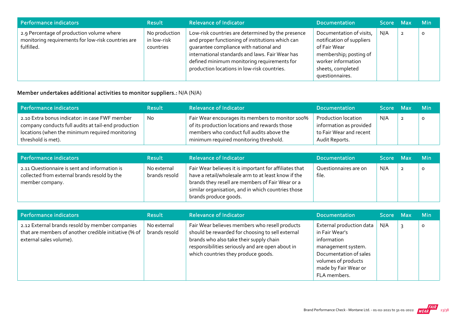| Performance indicators                                                                                        | <b>Result</b>                             | <b>Relevance of Indicator</b>                                                                                                                                                                                                                                                                    | <b>Documentation</b>                                                                                                                                          | Score Max | <b>Min</b> |
|---------------------------------------------------------------------------------------------------------------|-------------------------------------------|--------------------------------------------------------------------------------------------------------------------------------------------------------------------------------------------------------------------------------------------------------------------------------------------------|---------------------------------------------------------------------------------------------------------------------------------------------------------------|-----------|------------|
| 2.9 Percentage of production volume where<br>monitoring requirements for low-risk countries are<br>fulfilled. | No production<br>in low-risk<br>countries | Low-risk countries are determined by the presence<br>and proper functioning of institutions which can<br>quarantee compliance with national and<br>international standards and laws. Fair Wear has<br>defined minimum monitoring requirements for<br>production locations in low-risk countries. | Documentation of visits,<br>notification of suppliers<br>of Fair Wear<br>membership; posting of<br>worker information<br>sheets, completed<br>questionnaires. | N/A       | $\circ$    |

## Member undertakes additional activities to monitor suppliers.: N/A (N/A)

| Performance indicators                                                                                                                                                         | <b>Result</b> | <b>Relevance of Indicator</b>                                                                                                                                                            | <b>Documentation</b>                                                                        | Score Max | <b>Min</b> |
|--------------------------------------------------------------------------------------------------------------------------------------------------------------------------------|---------------|------------------------------------------------------------------------------------------------------------------------------------------------------------------------------------------|---------------------------------------------------------------------------------------------|-----------|------------|
| 2.10 Extra bonus indicator: in case FWF member<br>company conducts full audits at tail-end production<br>locations (when the minimum required monitoring<br>threshold is met). | <b>No</b>     | Fair Wear encourages its members to monitor 100%<br>of its production locations and rewards those<br>members who conduct full audits above the<br>minimum required monitoring threshold. | Production location<br>information as provided<br>to Fair Wear and recent<br>Audit Reports. | N/A       |            |

| <b>Performance indicators</b>                                                                                    | <b>Result</b>                | <b>Relevance of Indicator</b>                                                                                                                                                                                                                    | <b>Documentation</b>           | Score Max | <b>Min</b> |
|------------------------------------------------------------------------------------------------------------------|------------------------------|--------------------------------------------------------------------------------------------------------------------------------------------------------------------------------------------------------------------------------------------------|--------------------------------|-----------|------------|
| 2.11 Questionnaire is sent and information is<br>collected from external brands resold by the<br>member company. | No external<br>brands resold | Fair Wear believes it is important for affiliates that<br>have a retail/wholesale arm to at least know if the<br>brands they resell are members of Fair Wear or a<br>similar organisation, and in which countries those<br>brands produce goods. | Questionnaires are on<br>file. | N/A       | $\circ$    |

| Performance indicators                                                                                                              | <b>Result</b>                | <b>Relevance of Indicator</b>                                                                                                                                                                                                            | <b>Documentation</b>                                                                                                                                                     | 'Score Maxi | <b>Min</b> |
|-------------------------------------------------------------------------------------------------------------------------------------|------------------------------|------------------------------------------------------------------------------------------------------------------------------------------------------------------------------------------------------------------------------------------|--------------------------------------------------------------------------------------------------------------------------------------------------------------------------|-------------|------------|
| 2.12 External brands resold by member companies<br>that are members of another credible initiative (% of<br>external sales volume). | No external<br>brands resold | Fair Wear believes members who resell products<br>should be rewarded for choosing to sell external<br>brands who also take their supply chain<br>responsibilities seriously and are open about in<br>which countries they produce goods. | External production data<br>in Fair Wear's<br>information<br>management system.<br>Documentation of sales<br>volumes of products<br>made by Fair Wear or<br>FLA members. | N/A         | 0          |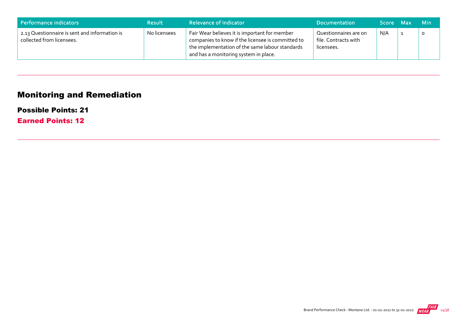| Performance indicators                                                     | <b>Result</b> | <b>Relevance of Indicator</b>                                                                                                                                                                  | <b>Documentation</b>                                        | <b>Score</b> | 7 Max | <b>Min</b> |
|----------------------------------------------------------------------------|---------------|------------------------------------------------------------------------------------------------------------------------------------------------------------------------------------------------|-------------------------------------------------------------|--------------|-------|------------|
| 2.13 Questionnaire is sent and information is<br>collected from licensees. | No licensees  | Fair Wear believes it is important for member<br>companies to know if the licensee is committed to<br>the implementation of the same labour standards<br>and has a monitoring system in place. | Questionnaires are on<br>file. Contracts with<br>licensees. | N/A          |       |            |

# Monitoring and Remediation

### Possible Points: 21

Earned Points: 12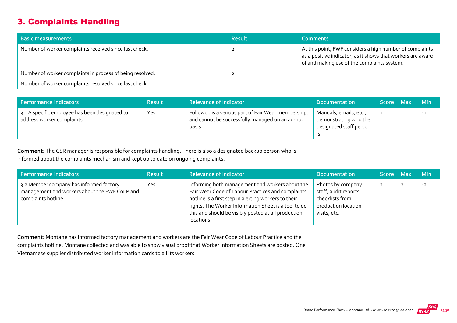## 3. Complaints Handling

| <b>Basic measurements</b>                                 | <b>Result</b> | <b>Comments</b>                                                                                                                                                        |
|-----------------------------------------------------------|---------------|------------------------------------------------------------------------------------------------------------------------------------------------------------------------|
| Number of worker complaints received since last check.    |               | At this point, FWF considers a high number of complaints<br>as a positive indicator, as it shows that workers are aware<br>of and making use of the complaints system. |
| Number of worker complaints in process of being resolved. |               |                                                                                                                                                                        |
| Number of worker complaints resolved since last check.    |               |                                                                                                                                                                        |

| Performance indicators                                                       | <b>Result</b> | <b>Relevance of Indicator</b>                                                                                    | <b>Documentation</b>                                                              | Score Max | <b>Min</b> |
|------------------------------------------------------------------------------|---------------|------------------------------------------------------------------------------------------------------------------|-----------------------------------------------------------------------------------|-----------|------------|
| 3.1 A specific employee has been designated to<br>address worker complaints. | Yes           | Followup is a serious part of Fair Wear membership,<br>and cannot be successfully managed on an ad-hoc<br>basis. | Manuals, emails, etc.,<br>demonstrating who the<br>designated staff person<br>.כו |           | $-1$       |

Comment: The CSR manager is responsible for complaints handling. There is also a designated backup person who is informed about the complaints mechanism and kept up to date on ongoing complaints.

| Performance indicators                                                                                          | <b>Result</b> | <b>Relevance of Indicator</b>                                                                                                                                                                                                                                                             | <b>Documentation</b>                                                                                 | Score Max      |                | <b>Min</b> |
|-----------------------------------------------------------------------------------------------------------------|---------------|-------------------------------------------------------------------------------------------------------------------------------------------------------------------------------------------------------------------------------------------------------------------------------------------|------------------------------------------------------------------------------------------------------|----------------|----------------|------------|
| 3.2 Member company has informed factory<br>management and workers about the FWF CoLP and<br>complaints hotline. | Yes           | Informing both management and workers about the<br>Fair Wear Code of Labour Practices and complaints<br>hotline is a first step in alerting workers to their<br>rights. The Worker Information Sheet is a tool to do<br>this and should be visibly posted at all production<br>locations. | Photos by company<br>staff, audit reports,<br>checklists from<br>production location<br>visits, etc. | $\overline{2}$ | $\overline{2}$ | $-2$       |

Comment: Montane has informed factory management and workers are the Fair Wear Code of Labour Practice and the complaints hotline. Montane collected and was able to show visual proof that Worker Information Sheets are posted. One Vietnamese supplier distributed worker information cards to all its workers.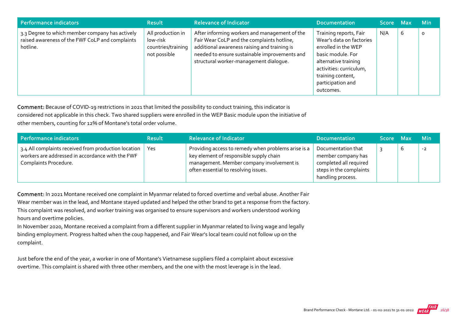| Performance indicators                                                                                         | <b>Result</b>                                                       | <b>Relevance of Indicator</b>                                                                                                                                                                                                          | <b>Documentation</b>                                                                                                                                                                                     | Score Max |   | <b>Min</b> |
|----------------------------------------------------------------------------------------------------------------|---------------------------------------------------------------------|----------------------------------------------------------------------------------------------------------------------------------------------------------------------------------------------------------------------------------------|----------------------------------------------------------------------------------------------------------------------------------------------------------------------------------------------------------|-----------|---|------------|
| 3.3 Degree to which member company has actively<br>raised awareness of the FWF CoLP and complaints<br>hotline. | All production in<br>low-risk<br>countries/training<br>not possible | After informing workers and management of the<br>Fair Wear CoLP and the complaints hotline,<br>additional awareness raising and training is<br>needed to ensure sustainable improvements and<br>structural worker-management dialoque. | Training reports, Fair<br>Wear's data on factories<br>enrolled in the WEP<br>basic module. For<br>alternative training<br>activities: curriculum,<br>training content,<br>participation and<br>outcomes. | N/A       | 6 | $\circ$    |

Comment: Because of COVID‐19 restrictions in 2021 that limited the possibility to conduct training, this indicator is considered not applicable in this check. Two shared suppliers were enrolled in the WEP Basic module upon the initiative of other members, counting for 12% of Montane's total order volume.

| Performance indicators                                                                                                              | <b>Result</b> | <b>Relevance of Indicator</b>                                                                                                                                                       | <b>Documentation</b>                                                                                               | Score Max |   | <b>Min</b> |
|-------------------------------------------------------------------------------------------------------------------------------------|---------------|-------------------------------------------------------------------------------------------------------------------------------------------------------------------------------------|--------------------------------------------------------------------------------------------------------------------|-----------|---|------------|
| 3.4 All complaints received from production location  <br>workers are addressed in accordance with the FWF<br>Complaints Procedure. | Yes           | Providing access to remedy when problems arise is a<br>key element of responsible supply chain<br>management. Member company involvement is<br>often essential to resolving issues. | Documentation that<br>member company has<br>completed all required<br>steps in the complaints<br>handling process. |           | O | $-2$       |

Comment: In 2021 Montane received one complaint in Myanmar related to forced overtime and verbal abuse. Another Fair Wear member was in the lead, and Montane stayed updated and helped the other brand to get a response from the factory. This complaint was resolved, and worker training was organised to ensure supervisors and workers understood working hours and overtime policies.

In November 2020, Montane received a complaint from a different supplier in Myanmar related to living wage and legally binding employment. Progress halted when the coup happened, and Fair Wear's local team could not follow up on the complaint.

Just before the end of the year, a worker in one of Montane's Vietnamese suppliers filed a complaint about excessive overtime. This complaint is shared with three other members, and the one with the most leverage is in the lead.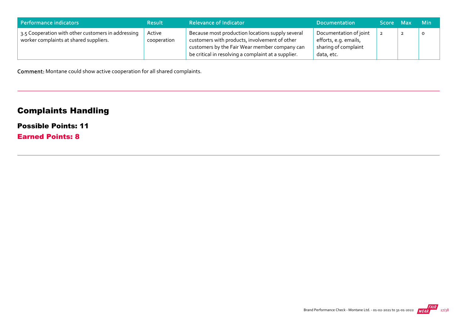| Performance indicators                                                                       | <b>Result</b>         | <b>Relevance of Indicator</b>                                                                                                                                                                             | <b>Documentation</b>                                                                  | Score Max | Min     |
|----------------------------------------------------------------------------------------------|-----------------------|-----------------------------------------------------------------------------------------------------------------------------------------------------------------------------------------------------------|---------------------------------------------------------------------------------------|-----------|---------|
| 3.5 Cooperation with other customers in addressing<br>worker complaints at shared suppliers. | Active<br>cooperation | Because most production locations supply several<br>customers with products, involvement of other<br>customers by the Fair Wear member company can<br>be critical in resolving a complaint at a supplier. | Documentation of joint<br>efforts, e.g. emails,<br>sharing of complaint<br>data, etc. |           | $\circ$ |

Comment: Montane could show active cooperation for all shared complaints.

# Complaints Handling

## Possible Points: 11

Earned Points: 8

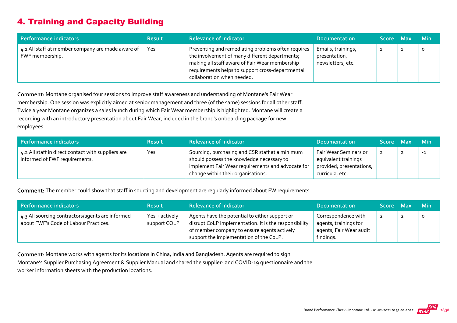## 4. Training and Capacity Building

| Performance indicators                                               | <b>Result</b> | <b>Relevance of Indicator</b>                                                                                                                                                                                                            | <b>Documentation</b>                                     | Score Max | <b>Min</b> |
|----------------------------------------------------------------------|---------------|------------------------------------------------------------------------------------------------------------------------------------------------------------------------------------------------------------------------------------------|----------------------------------------------------------|-----------|------------|
| 4.1 All staff at member company are made aware of<br>FWF membership. | Yes           | Preventing and remediating problems often requires<br>the involvement of many different departments;<br>making all staff aware of Fair Wear membership<br>requirements helps to support cross-departmental<br>collaboration when needed. | Emails, trainings,<br>presentation,<br>newsletters, etc. |           | O          |

Comment: Montane organised four sessions to improve staff awareness and understanding of Montane's Fair Wear membership. One session was explicitly aimed at senior management and three (of the same) sessions for all other staff. Twice a year Montane organizes a sales launch during which Fair Wear membership is highlighted. Montane will create a recording with an introductory presentation about Fair Wear, included in the brand's onboarding package for new employees.

| Performance indicators                                                              | <b>Result</b> | <b>Relevance of Indicator</b>                                                                                                                                                           | Documentation                                                                                | Score Max | <b>Min</b> |
|-------------------------------------------------------------------------------------|---------------|-----------------------------------------------------------------------------------------------------------------------------------------------------------------------------------------|----------------------------------------------------------------------------------------------|-----------|------------|
| 4.2 All staff in direct contact with suppliers are<br>informed of FWF requirements. | Yes           | Sourcing, purchasing and CSR staff at a minimum<br>should possess the knowledge necessary to<br>implement Fair Wear requirements and advocate for<br>change within their organisations. | Fair Wear Seminars or<br>equivalent trainings<br>provided; presentations,<br>curricula, etc. |           | $-1$       |

Comment: The member could show that staff in sourcing and development are regularly informed about FW requirements.

| Performance indicators                                                                    | <b>Result</b>                  | <b>Relevance of Indicator</b>                                                                                                                                                                     | <b>Documentation</b>                                                                 | Score Max      | <b>Min</b> |
|-------------------------------------------------------------------------------------------|--------------------------------|---------------------------------------------------------------------------------------------------------------------------------------------------------------------------------------------------|--------------------------------------------------------------------------------------|----------------|------------|
| 4.3 All sourcing contractors/agents are informed<br>about FWF's Code of Labour Practices. | Yes + actively<br>support COLP | Agents have the potential to either support or<br>disrupt CoLP implementation. It is the responsibility<br>of member company to ensure agents actively<br>support the implementation of the CoLP. | Correspondence with<br>agents, trainings for<br>agents, Fair Wear audit<br>findings. | $\overline{2}$ |            |

Comment: Montane works with agents for its locations in China, India and Bangladesh. Agents are required to sign Montane's Supplier Purchasing Agreement & Supplier Manual and shared the supplier‐ and COVID‐19 questionnaire and the worker information sheets with the production locations.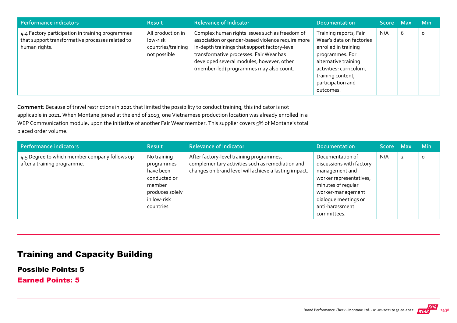| Performance indicators                                                                                                | <b>Result</b>                                                       | <b>Relevance of Indicator</b>                                                                                                                                                                                                                                                           | <b>Documentation</b>                                                                                                                                                                                    | Score Max |   | <b>Min</b> |
|-----------------------------------------------------------------------------------------------------------------------|---------------------------------------------------------------------|-----------------------------------------------------------------------------------------------------------------------------------------------------------------------------------------------------------------------------------------------------------------------------------------|---------------------------------------------------------------------------------------------------------------------------------------------------------------------------------------------------------|-----------|---|------------|
| 4.4 Factory participation in training programmes<br>that support transformative processes related to<br>human rights. | All production in<br>low-risk<br>countries/training<br>not possible | Complex human rights issues such as freedom of<br>association or gender-based violence require more<br>in-depth trainings that support factory-level<br>transformative processes. Fair Wear has<br>developed several modules, however, other<br>(member-led) programmes may also count. | Training reports, Fair<br>Wear's data on factories<br>enrolled in training<br>programmes. For<br>alternative training<br>activities: curriculum,<br>training content,<br>participation and<br>outcomes. | N/A       | 6 | $\circ$    |

Comment: Because of travel restrictions in 2021 that limited the possibility to conduct training, this indicator is not applicable in 2021. When Montane joined at the end of 2019, one Vietnamese production location was already enrolled in a WEP Communication module, upon the initiative of another Fair Wear member. This supplier covers 5% of Montane's total placed order volume.

| Performance indicators                                                       | <b>Result</b>                                                                                                   | <b>Relevance of Indicator</b>                                                                                                                         | <b>Documentation</b>                                                                                                                                                                           | Score Max |                | <b>Min</b> |
|------------------------------------------------------------------------------|-----------------------------------------------------------------------------------------------------------------|-------------------------------------------------------------------------------------------------------------------------------------------------------|------------------------------------------------------------------------------------------------------------------------------------------------------------------------------------------------|-----------|----------------|------------|
| 4.5 Degree to which member company follows up<br>after a training programme. | No training<br>programmes<br>have been<br>conducted or<br>member<br>produces solely<br>in low-risk<br>countries | After factory-level training programmes,<br>complementary activities such as remediation and<br>changes on brand level will achieve a lasting impact. | Documentation of<br>discussions with factory<br>management and<br>worker representatives,<br>minutes of regular<br>worker-management<br>dialoque meetings or<br>anti-harassment<br>committees. | N/A       | $\overline{2}$ | $\circ$    |

## Training and Capacity Building

Possible Points: 5

Earned Points: 5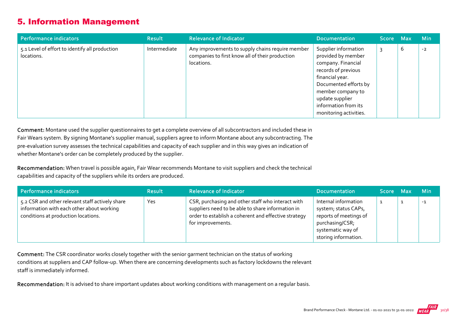## 5. Information Management

| Performance indicators                                       | <b>Result</b> | <b>Relevance of Indicator</b>                                                                                     | <b>Documentation</b>                                                                                                                                                                                                          | Score Max |   | <b>Min</b> |
|--------------------------------------------------------------|---------------|-------------------------------------------------------------------------------------------------------------------|-------------------------------------------------------------------------------------------------------------------------------------------------------------------------------------------------------------------------------|-----------|---|------------|
| 5.1 Level of effort to identify all production<br>locations. | Intermediate  | Any improvements to supply chains require member<br>companies to first know all of their production<br>locations. | Supplier information<br>provided by member<br>company. Financial<br>records of previous<br>financial year.<br>Documented efforts by<br>member company to<br>update supplier<br>information from its<br>monitoring activities. |           | b | $-2$       |

Comment: Montane used the supplier questionnaires to get a complete overview of all subcontractors and included these in Fair Wears system. By signing Montane's supplier manual, suppliers agree to inform Montane about any subcontracting. The pre-evaluation survey assesses the technical capabilities and capacity of each supplier and in this way gives an indication of whether Montane's order can be completely produced by the supplier.

Recommendation: When travel is possible again, Fair Wear recommends Montane to visit suppliers and check the technical capabilities and capacity of the suppliers while its orders are produced.

| <b>Performance indicators</b>                                                                                                       | <b>Result</b> | <b>Relevance of Indicator</b>                                                                                                                                                       | <b>Documentation</b>                                                                                                                   | Score Max | Min. |
|-------------------------------------------------------------------------------------------------------------------------------------|---------------|-------------------------------------------------------------------------------------------------------------------------------------------------------------------------------------|----------------------------------------------------------------------------------------------------------------------------------------|-----------|------|
| 5.2 CSR and other relevant staff actively share<br>information with each other about working<br>conditions at production locations. | Yes           | CSR, purchasing and other staff who interact with<br>suppliers need to be able to share information in<br>order to establish a coherent and effective strategy<br>for improvements. | Internal information<br>system; status CAPs,<br>reports of meetings of<br>purchasing/CSR;<br>systematic way of<br>storing information. |           | $-1$ |

Comment: The CSR coordinator works closely together with the senior garment technician on the status of working conditions at suppliers and CAP follow‐up. When there are concerning developments such as factory lockdowns the relevant staff is immediately informed.

Recommendation: It is advised to share important updates about working conditions with management on a regular basis.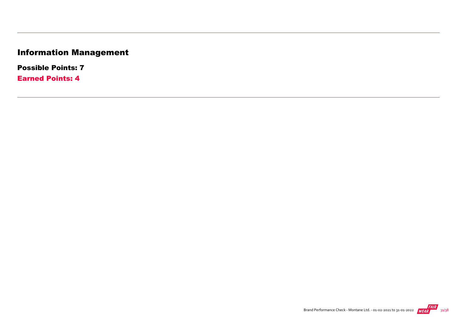# Information Management

Possible Points: 7

Earned Points: 4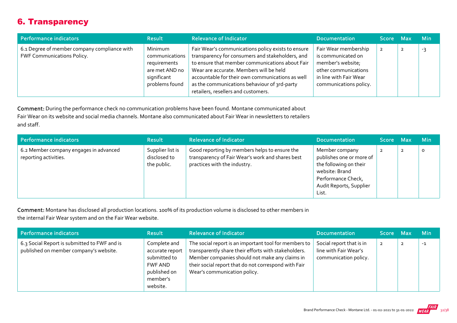## 6. Transparency

| Performance indicators                                                            | <b>Result</b>                                                                                | <b>Relevance of Indicator</b>                                                                                                                                                                                                                                                                                                                   | <b>Documentation</b>                                                                                                                        | Score Max      | <b>Min</b> |
|-----------------------------------------------------------------------------------|----------------------------------------------------------------------------------------------|-------------------------------------------------------------------------------------------------------------------------------------------------------------------------------------------------------------------------------------------------------------------------------------------------------------------------------------------------|---------------------------------------------------------------------------------------------------------------------------------------------|----------------|------------|
| 6.1 Degree of member company compliance with<br><b>FWF Communications Policy.</b> | Minimum<br>communications<br>requirements<br>are met AND no<br>significant<br>problems found | Fair Wear's communications policy exists to ensure<br>transparency for consumers and stakeholders, and<br>to ensure that member communications about Fair<br>Wear are accurate. Members will be held<br>accountable for their own communications as well<br>as the communications behaviour of 3rd-party<br>retailers, resellers and customers. | Fair Wear membership<br>is communicated on<br>member's website;<br>other communications<br>in line with Fair Wear<br>communications policy. | $\overline{2}$ | -3         |

Comment: During the performance check no communication problems have been found. Montane communicated about Fair Wear on its website and social media channels. Montane also communicated about Fair Wear in newsletters to retailers and staff.

| Performance indicators                                          | <b>Result</b>                                   | <b>Relevance of Indicator</b>                                                                                                     | <b>Documentation</b>                                                                                                                             | Score Max      |                | <b>Min</b> |
|-----------------------------------------------------------------|-------------------------------------------------|-----------------------------------------------------------------------------------------------------------------------------------|--------------------------------------------------------------------------------------------------------------------------------------------------|----------------|----------------|------------|
| 6.2 Member company engages in advanced<br>reporting activities. | Supplier list is<br>disclosed to<br>the public. | Good reporting by members helps to ensure the<br>transparency of Fair Wear's work and shares best<br>practices with the industry. | Member company<br>publishes one or more of<br>the following on their<br>website: Brand<br>Performance Check,<br>Audit Reports, Supplier<br>List. | $\overline{2}$ | $\overline{2}$ |            |

Comment: Montane has disclosed all production locations. 100% of its production volume is disclosed to other members in the internal Fair Wear system and on the Fair Wear website.

| Performance indicators                                                                 | <b>Result</b>                                                                                      | <b>Relevance of Indicator</b>                                                                                                                                                                                                                           | <b>Documentation</b>                                                       | <b>Score</b>   | Max                     | <b>Min</b> |
|----------------------------------------------------------------------------------------|----------------------------------------------------------------------------------------------------|---------------------------------------------------------------------------------------------------------------------------------------------------------------------------------------------------------------------------------------------------------|----------------------------------------------------------------------------|----------------|-------------------------|------------|
| 6.3 Social Report is submitted to FWF and is<br>published on member company's website. | Complete and<br>accurate report<br>submitted to<br>FWF AND<br>published on<br>member's<br>website. | The social report is an important tool for members to<br>transparently share their efforts with stakeholders.<br>Member companies should not make any claims in<br>their social report that do not correspond with Fair<br>Wear's communication policy. | Social report that is in<br>line with Fair Wear's<br>communication policy. | $\overline{2}$ | $\overline{\mathbf{2}}$ | $-1$       |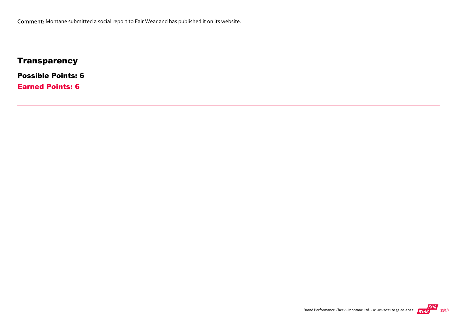## **Transparency**

Possible Points: 6

Earned Points: 6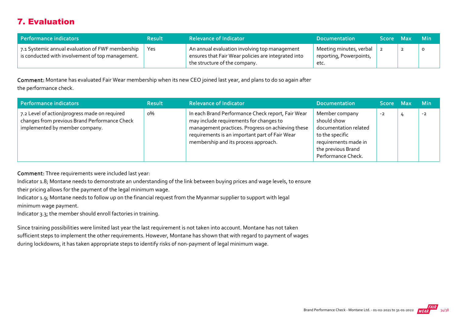## 7. Evaluation

| Performance indicators                                                                                     | <b>Result</b> | <b>Relevance of Indicator</b>                                                                                                         | <b>Documentation</b>                                       | Score Max |   | ⊾ Min\  |
|------------------------------------------------------------------------------------------------------------|---------------|---------------------------------------------------------------------------------------------------------------------------------------|------------------------------------------------------------|-----------|---|---------|
| 7.1 Systemic annual evaluation of FWF membership $\pm$<br>is conducted with involvement of top management. | Yes           | An annual evaluation involving top management<br>ensures that Fair Wear policies are integrated into<br>the structure of the company. | Meeting minutes, verbal<br>reporting, Powerpoints,<br>etc. |           | ∠ | $\circ$ |

Comment: Montane has evaluated Fair Wear membership when its new CEO joined last year, and plans to do so again after the performance check.

| <b>Performance indicators</b>                                                                                                    | <b>Result</b> | <b>Relevance of Indicator</b>                                                                                                                                                                                                               | <b>Documentation</b>                                                                                                                          | <b>Score</b> | - Max | <b>Min</b> |
|----------------------------------------------------------------------------------------------------------------------------------|---------------|---------------------------------------------------------------------------------------------------------------------------------------------------------------------------------------------------------------------------------------------|-----------------------------------------------------------------------------------------------------------------------------------------------|--------------|-------|------------|
| 7.2 Level of action/progress made on required<br>changes from previous Brand Performance Check<br>implemented by member company. | о%            | In each Brand Performance Check report, Fair Wear<br>may include requirements for changes to<br>management practices. Progress on achieving these<br>requirements is an important part of Fair Wear<br>membership and its process approach. | Member company<br>should show<br>documentation related<br>to the specific<br>requirements made in<br>the previous Brand<br>Performance Check. | $-2$         |       | $-2$       |

Comment: Three requirements were included last year:

Indicator 1.8; Montane needs to demonstrate an understanding of the link between buying prices and wage levels, to ensure

their pricing allows for the payment of the legal minimum wage.

Indicator 1.9; Montane needs to follow up on the financial request from the Myanmar supplier to support with legal minimum wage payment.

Indicator 3.3; the member should enroll factories in training.

Since training possibilities were limited last year the last requirement is not taken into account. Montane has not taken sufficient steps to implement the other requirements. However, Montane has shown that with regard to payment of wages during lockdowns, it has taken appropriate steps to identify risks of non‐payment of legal minimum wage.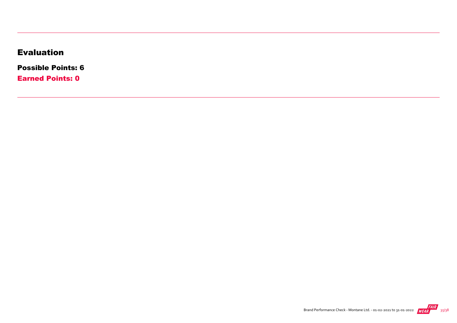## Evaluation

Possible Points: 6

Earned Points: 0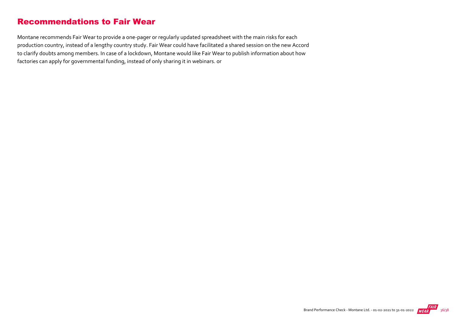## Recommendations to Fair Wear

Montane recommends Fair Wear to provide a one‐pager or regularly updated spreadsheet with the main risks for each production country, instead of a lengthy country study. Fair Wear could have facilitated a shared session on the new Accord to clarify doubts among members. In case of a lockdown, Montane would like Fair Wear to publish information about how factories can apply for governmental funding, instead of only sharing it in webinars. or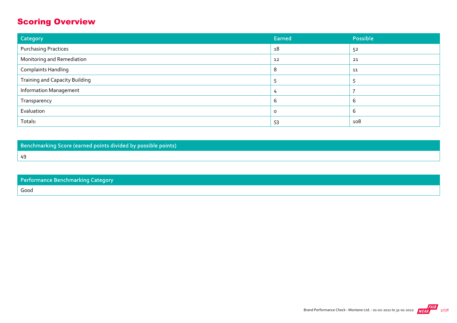## Scoring Overview

| Category                              | Earned   | Possible |
|---------------------------------------|----------|----------|
| <b>Purchasing Practices</b>           | 18       | 52       |
| Monitoring and Remediation            | 12       | 21       |
| <b>Complaints Handling</b>            |          | 11       |
| <b>Training and Capacity Building</b> |          |          |
| <b>Information Management</b>         |          |          |
| Transparency                          | h        | b        |
| Evaluation                            | $\Omega$ | ь        |
| Totals:                               | 53       | 108      |

Benchmarking Score (earned points divided by possible points)

49

|      | Performance Benchmarking Category |  |
|------|-----------------------------------|--|
| Good |                                   |  |